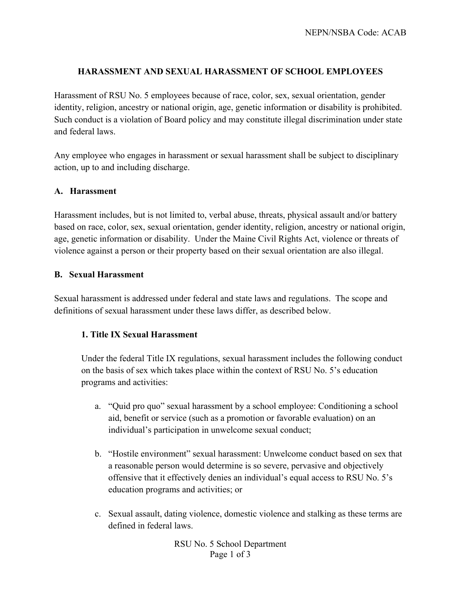## **HARASSMENT AND SEXUAL HARASSMENT OF SCHOOL EMPLOYEES**

Harassment of RSU No. 5 employees because of race, color, sex, sexual orientation, gender identity, religion, ancestry or national origin, age, genetic information or disability is prohibited. Such conduct is a violation of Board policy and may constitute illegal discrimination under state and federal laws.

Any employee who engages in harassment or sexual harassment shall be subject to disciplinary action, up to and including discharge.

### **A. Harassment**

Harassment includes, but is not limited to, verbal abuse, threats, physical assault and/or battery based on race, color, sex, sexual orientation, gender identity, religion, ancestry or national origin, age, genetic information or disability. Under the Maine Civil Rights Act, violence or threats of violence against a person or their property based on their sexual orientation are also illegal.

#### **B. Sexual Harassment**

Sexual harassment is addressed under federal and state laws and regulations. The scope and definitions of sexual harassment under these laws differ, as described below.

### **1. Title IX Sexual Harassment**

Under the federal Title IX regulations, sexual harassment includes the following conduct on the basis of sex which takes place within the context of RSU No. 5's education programs and activities:

- a. "Quid pro quo" sexual harassment by a school employee: Conditioning a school aid, benefit or service (such as a promotion or favorable evaluation) on an individual's participation in unwelcome sexual conduct;
- b. "Hostile environment" sexual harassment: Unwelcome conduct based on sex that a reasonable person would determine is so severe, pervasive and objectively offensive that it effectively denies an individual's equal access to RSU No. 5's education programs and activities; or
- c. Sexual assault, dating violence, domestic violence and stalking as these terms are defined in federal laws.

RSU No. 5 School Department Page 1 of 3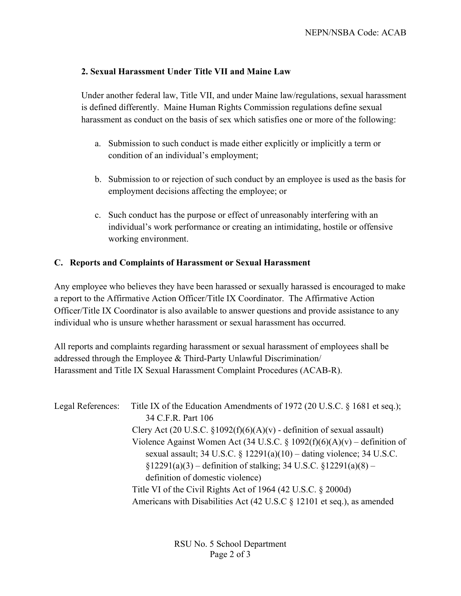## **2. Sexual Harassment Under Title VII and Maine Law**

Under another federal law, Title VII, and under Maine law/regulations, sexual harassment is defined differently. Maine Human Rights Commission regulations define sexual harassment as conduct on the basis of sex which satisfies one or more of the following:

- a. Submission to such conduct is made either explicitly or implicitly a term or condition of an individual's employment;
- b. Submission to or rejection of such conduct by an employee is used as the basis for employment decisions affecting the employee; or
- c. Such conduct has the purpose or effect of unreasonably interfering with an individual's work performance or creating an intimidating, hostile or offensive working environment.

# **C. Reports and Complaints of Harassment or Sexual Harassment**

Any employee who believes they have been harassed or sexually harassed is encouraged to make a report to the Affirmative Action Officer/Title IX Coordinator. The Affirmative Action Officer/Title IX Coordinator is also available to answer questions and provide assistance to any individual who is unsure whether harassment or sexual harassment has occurred.

All reports and complaints regarding harassment or sexual harassment of employees shall be addressed through the Employee & Third-Party Unlawful Discrimination/ Harassment and Title IX Sexual Harassment Complaint Procedures (ACAB-R).

| Legal References: | Title IX of the Education Amendments of 1972 (20 U.S.C. § 1681 et seq.);  |
|-------------------|---------------------------------------------------------------------------|
|                   | 34 C.F.R. Part 106                                                        |
|                   | Clery Act (20 U.S.C. $\S1092(f)(6)(A)(v)$ - definition of sexual assault) |
|                   | Violence Against Women Act (34 U.S.C. § 1092(f)(6)(A)(v) – definition of  |
|                   | sexual assault; 34 U.S.C. § $12291(a)(10)$ – dating violence; 34 U.S.C.   |
|                   | $\S 12291(a)(3)$ – definition of stalking; 34 U.S.C. $\S 12291(a)(8)$ –   |
|                   | definition of domestic violence)                                          |
|                   | Title VI of the Civil Rights Act of 1964 (42 U.S.C. $\S$ 2000d)           |
|                   | Americans with Disabilities Act (42 U.S.C § 12101 et seq.), as amended    |